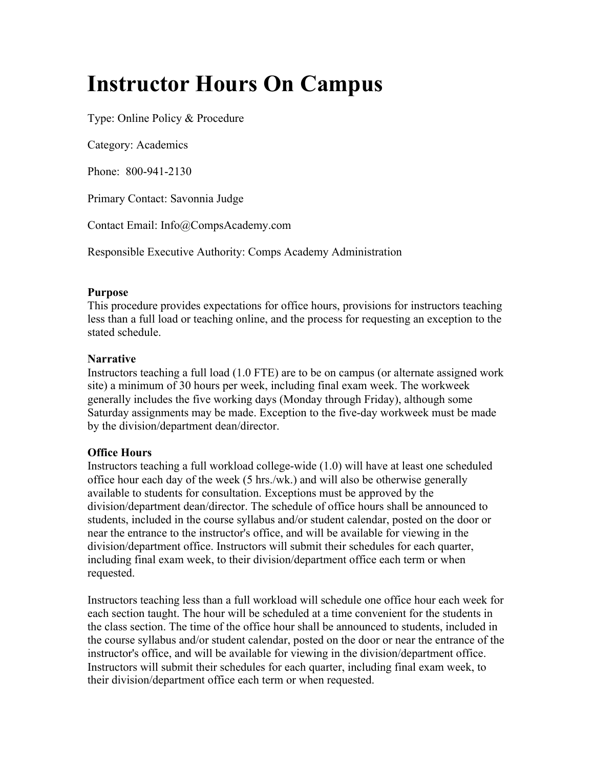## **Instructor Hours On Campus**

Type: Online Policy & Procedure

Category: Academics

Phone: 800-941-2130

Primary Contact: Savonnia Judge

Contact Email: Info@CompsAcademy.com

Responsible Executive Authority: Comps Academy Administration

## **Purpose**

This procedure provides expectations for office hours, provisions for instructors teaching less than a full load or teaching online, and the process for requesting an exception to the stated schedule.

## **Narrative**

Instructors teaching a full load (1.0 FTE) are to be on campus (or alternate assigned work site) a minimum of 30 hours per week, including final exam week. The workweek generally includes the five working days (Monday through Friday), although some Saturday assignments may be made. Exception to the five-day workweek must be made by the division/department dean/director.

## **Office Hours**

Instructors teaching a full workload college-wide (1.0) will have at least one scheduled office hour each day of the week (5 hrs./wk.) and will also be otherwise generally available to students for consultation. Exceptions must be approved by the division/department dean/director. The schedule of office hours shall be announced to students, included in the course syllabus and/or student calendar, posted on the door or near the entrance to the instructor's office, and will be available for viewing in the division/department office. Instructors will submit their schedules for each quarter, including final exam week, to their division/department office each term or when requested.

Instructors teaching less than a full workload will schedule one office hour each week for each section taught. The hour will be scheduled at a time convenient for the students in the class section. The time of the office hour shall be announced to students, included in the course syllabus and/or student calendar, posted on the door or near the entrance of the instructor's office, and will be available for viewing in the division/department office. Instructors will submit their schedules for each quarter, including final exam week, to their division/department office each term or when requested.